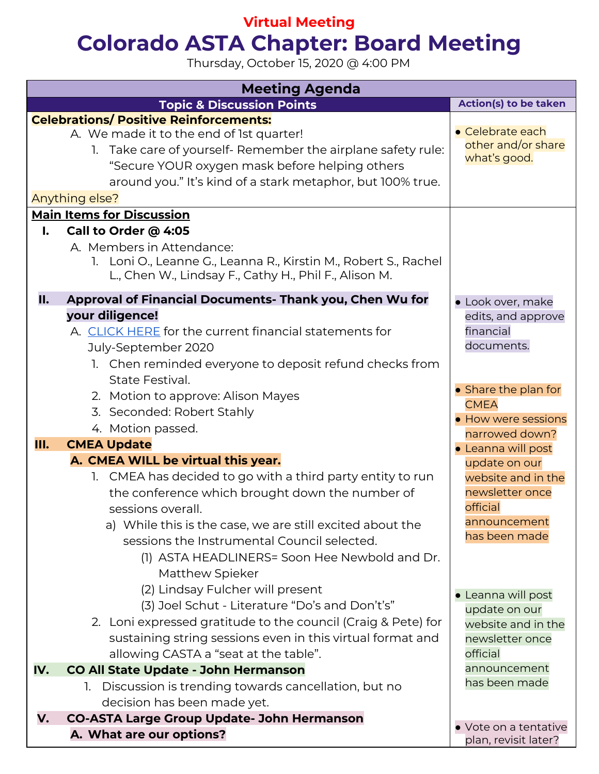## **Virtual Meeting Colorado ASTA Chapter: Board Meeting**

Thursday, October 15, 2020 @ 4:00 PM

| <b>Meeting Agenda</b>                                                                                                                                                                                                                                                                                                                                                                                     |                                                                                                                           |  |  |  |  |
|-----------------------------------------------------------------------------------------------------------------------------------------------------------------------------------------------------------------------------------------------------------------------------------------------------------------------------------------------------------------------------------------------------------|---------------------------------------------------------------------------------------------------------------------------|--|--|--|--|
| <b>Topic &amp; Discussion Points</b>                                                                                                                                                                                                                                                                                                                                                                      | Action(s) to be taken                                                                                                     |  |  |  |  |
| <b>Celebrations/ Positive Reinforcements:</b><br>A. We made it to the end of 1st quarter!<br>1. Take care of yourself- Remember the airplane safety rule:<br>"Secure YOUR oxygen mask before helping others<br>around you." It's kind of a stark metaphor, but 100% true.<br>Anything else?                                                                                                               | • Celebrate each<br>other and/or share<br>what's good.                                                                    |  |  |  |  |
| <b>Main Items for Discussion</b>                                                                                                                                                                                                                                                                                                                                                                          |                                                                                                                           |  |  |  |  |
| Call to Order @ 4:05<br>I.<br>A. Members in Attendance:<br>1. Loni O., Leanne G., Leanna R., Kirstin M., Robert S., Rachel<br>L., Chen W., Lindsay F., Cathy H., Phil F., Alison M.                                                                                                                                                                                                                       |                                                                                                                           |  |  |  |  |
| Approval of Financial Documents- Thank you, Chen Wu for<br>II.<br>your diligence!<br>A. CLICK HERE for the current financial statements for<br>July-September 2020<br>1. Chen reminded everyone to deposit refund checks from                                                                                                                                                                             | · Look over, make<br>edits, and approve<br>financial<br>documents.                                                        |  |  |  |  |
| State Festival.<br>2. Motion to approve: Alison Mayes<br>3. Seconded: Robert Stahly<br>4. Motion passed.<br>Ш.<br><b>CMEA Update</b>                                                                                                                                                                                                                                                                      | • Share the plan for<br><b>CMEA</b><br>• How were sessions<br>narrowed down?                                              |  |  |  |  |
| A. CMEA WILL be virtual this year.<br>1. CMEA has decided to go with a third party entity to run<br>the conference which brought down the number of<br>sessions overall.<br>a) While this is the case, we are still excited about the<br>sessions the Instrumental Council selected.<br>(1) ASTA HEADLINERS= Soon Hee Newbold and Dr.<br>Matthew Spieker                                                  | • Leanna will post<br>update on our<br>website and in the<br>newsletter once<br>official<br>announcement<br>has been made |  |  |  |  |
| (2) Lindsay Fulcher will present<br>(3) Joel Schut - Literature "Do's and Don't's"<br>2. Loni expressed gratitude to the council (Craig & Pete) for<br>sustaining string sessions even in this virtual format and<br>allowing CASTA a "seat at the table".<br>IV.<br><b>CO All State Update - John Hermanson</b><br>1. Discussion is trending towards cancellation, but no<br>decision has been made yet. | • Leanna will post<br>update on our<br>website and in the<br>newsletter once<br>official<br>announcement<br>has been made |  |  |  |  |
| <b>CO-ASTA Large Group Update- John Hermanson</b><br>V.                                                                                                                                                                                                                                                                                                                                                   |                                                                                                                           |  |  |  |  |
| A. What are our options?                                                                                                                                                                                                                                                                                                                                                                                  | • Vote on a tentative<br>plan, revisit later?                                                                             |  |  |  |  |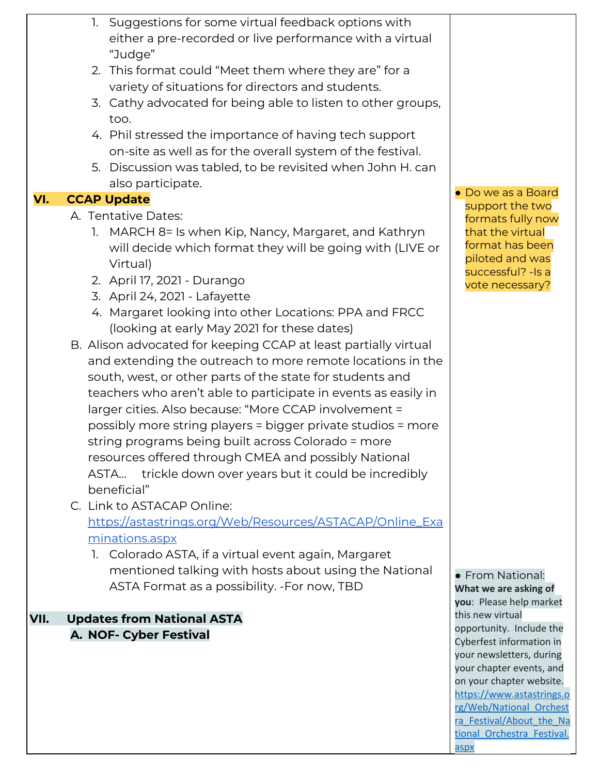|      |    | 1. Suggestions for some virtual feedback options with<br>either a pre-recorded or live performance with a virtual<br>"Judge"<br>2. This format could "Meet them where they are" for a<br>variety of situations for directors and students.<br>3. Cathy advocated for being able to listen to other groups,<br>too.<br>4. Phil stressed the importance of having tech support                                                                                                                                                                                                                                                                                                                                                                                                                                |                                                                                                                                                                       |
|------|----|-------------------------------------------------------------------------------------------------------------------------------------------------------------------------------------------------------------------------------------------------------------------------------------------------------------------------------------------------------------------------------------------------------------------------------------------------------------------------------------------------------------------------------------------------------------------------------------------------------------------------------------------------------------------------------------------------------------------------------------------------------------------------------------------------------------|-----------------------------------------------------------------------------------------------------------------------------------------------------------------------|
|      |    | on-site as well as for the overall system of the festival.<br>5. Discussion was tabled, to be revisited when John H. can                                                                                                                                                                                                                                                                                                                                                                                                                                                                                                                                                                                                                                                                                    |                                                                                                                                                                       |
|      |    | also participate.                                                                                                                                                                                                                                                                                                                                                                                                                                                                                                                                                                                                                                                                                                                                                                                           |                                                                                                                                                                       |
| VI.  |    | <b>CCAP Update</b>                                                                                                                                                                                                                                                                                                                                                                                                                                                                                                                                                                                                                                                                                                                                                                                          | • Do we as a Board<br>support the two                                                                                                                                 |
|      |    | A. Tentative Dates:                                                                                                                                                                                                                                                                                                                                                                                                                                                                                                                                                                                                                                                                                                                                                                                         | formats fully now                                                                                                                                                     |
|      | 1. | MARCH 8= Is when Kip, Nancy, Margaret, and Kathryn<br>will decide which format they will be going with (LIVE or<br>Virtual)<br>2. April 17, 2021 - Durango<br>3. April 24, 2021 - Lafayette<br>4. Margaret looking into other Locations: PPA and FRCC<br>(looking at early May 2021 for these dates)<br>B. Alison advocated for keeping CCAP at least partially virtual<br>and extending the outreach to more remote locations in the<br>south, west, or other parts of the state for students and<br>teachers who aren't able to participate in events as easily in<br>larger cities. Also because: "More CCAP involvement =<br>possibly more string players = bigger private studios = more<br>string programs being built across Colorado = more<br>resources offered through CMEA and possibly National | that the virtual<br>format has been<br>piloted and was<br>successful? - Is a<br>vote necessary?                                                                       |
|      |    | ASTA trickle down over years but it could be incredibly                                                                                                                                                                                                                                                                                                                                                                                                                                                                                                                                                                                                                                                                                                                                                     |                                                                                                                                                                       |
|      |    | beneficial"                                                                                                                                                                                                                                                                                                                                                                                                                                                                                                                                                                                                                                                                                                                                                                                                 |                                                                                                                                                                       |
|      |    | C. Link to ASTACAP Online:                                                                                                                                                                                                                                                                                                                                                                                                                                                                                                                                                                                                                                                                                                                                                                                  |                                                                                                                                                                       |
|      |    | https://astastrings.org/Web/Resources/ASTACAP/Online_Exa<br>minations.aspx<br>1. Colorado ASTA, if a virtual event again, Margaret                                                                                                                                                                                                                                                                                                                                                                                                                                                                                                                                                                                                                                                                          |                                                                                                                                                                       |
|      |    | mentioned talking with hosts about using the National<br>ASTA Format as a possibility. - For now, TBD                                                                                                                                                                                                                                                                                                                                                                                                                                                                                                                                                                                                                                                                                                       | • From National:<br>What we are asking of<br>you: Please help market                                                                                                  |
| VII. |    | <b>Updates from National ASTA</b>                                                                                                                                                                                                                                                                                                                                                                                                                                                                                                                                                                                                                                                                                                                                                                           | this new virtual                                                                                                                                                      |
|      |    | A. NOF- Cyber Festival                                                                                                                                                                                                                                                                                                                                                                                                                                                                                                                                                                                                                                                                                                                                                                                      | opportunity. Include the<br>Cyberfest information in<br>your newsletters, during<br>your chapter events, and<br>on your chapter website.<br>https://www.astastrings.o |

[rg/Web/National\\_Orchest](https://nam12.safelinks.protection.outlook.com/?url=https%3A%2F%2Fwww.astastrings.org%2FWeb%2FNational_Orchestra_Festival%2FAbout_the_National_Orchestra_Festival.aspx&data=02%7C01%7Clobluda%40psdschools.org%7C0f9d36e85a1648413d1608d86faa32f9%7C0d6d846ceadd4b6cb03ef15cd4b7e9cf%7C0%7C0%7C637382124472353929&sdata=cMav9f7MaGDPJdFZwC%2FIaHAIjKwl8l3yObiCeTTnKyo%3D&reserved=0) [ra\\_Festival/About\\_the\\_Na](https://nam12.safelinks.protection.outlook.com/?url=https%3A%2F%2Fwww.astastrings.org%2FWeb%2FNational_Orchestra_Festival%2FAbout_the_National_Orchestra_Festival.aspx&data=02%7C01%7Clobluda%40psdschools.org%7C0f9d36e85a1648413d1608d86faa32f9%7C0d6d846ceadd4b6cb03ef15cd4b7e9cf%7C0%7C0%7C637382124472353929&sdata=cMav9f7MaGDPJdFZwC%2FIaHAIjKwl8l3yObiCeTTnKyo%3D&reserved=0) [tional\\_Orchestra\\_Festival.](https://nam12.safelinks.protection.outlook.com/?url=https%3A%2F%2Fwww.astastrings.org%2FWeb%2FNational_Orchestra_Festival%2FAbout_the_National_Orchestra_Festival.aspx&data=02%7C01%7Clobluda%40psdschools.org%7C0f9d36e85a1648413d1608d86faa32f9%7C0d6d846ceadd4b6cb03ef15cd4b7e9cf%7C0%7C0%7C637382124472353929&sdata=cMav9f7MaGDPJdFZwC%2FIaHAIjKwl8l3yObiCeTTnKyo%3D&reserved=0) [aspx](https://nam12.safelinks.protection.outlook.com/?url=https%3A%2F%2Fwww.astastrings.org%2FWeb%2FNational_Orchestra_Festival%2FAbout_the_National_Orchestra_Festival.aspx&data=02%7C01%7Clobluda%40psdschools.org%7C0f9d36e85a1648413d1608d86faa32f9%7C0d6d846ceadd4b6cb03ef15cd4b7e9cf%7C0%7C0%7C637382124472353929&sdata=cMav9f7MaGDPJdFZwC%2FIaHAIjKwl8l3yObiCeTTnKyo%3D&reserved=0)